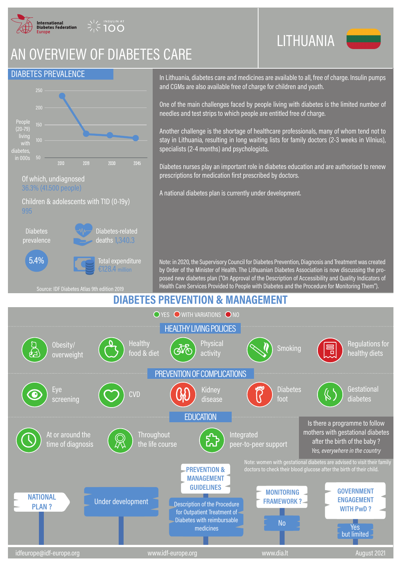

**INSULIN AT** 

## AN OVERVIEW OF DIABETES CARE



In Lithuania, diabetes care and medicines are available to all, free of charge. Insulin pumps and CGMs are also available free of charge for children and youth.

LITHUANIA

One of the main challenges faced by people living with diabetes is the limited number of needles and test strips to which people are entitled free of charge.

Another challenge is the shortage of healthcare professionals, many of whom tend not to stay in Lithuania, resulting in long waiting lists for family doctors (2-3 weeks in Vilnius), specialists (2-4 months) and psychologists.

Diabetes nurses play an important role in diabetes education and are authorised to renew prescriptions for medication first prescribed by doctors.

A national diabetes plan is currently under development.

Note: in 2020, the Supervisory Council for Diabetes Prevention, Diagnosis and Treatment was created by Order of the Minister of Health. The Lithuanian Diabetes Association is now discussing the proposed new diabetes plan ("On Approval of the Description of Accessibility and Quality Indicators of .<br>Health Care Services Provided to People with Diabetes and the Procedure for Monitoring Them")

## **DIABETES PREVENTION & MANAGEMENT**

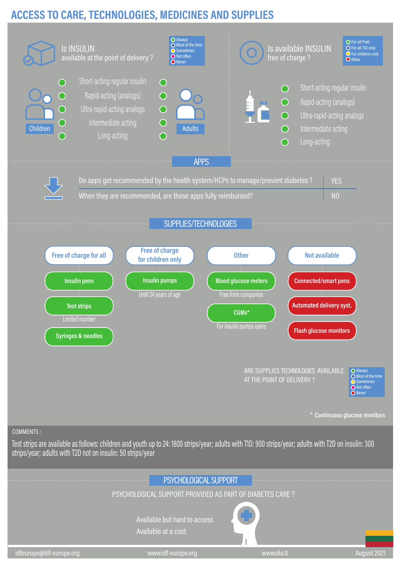## **ACCESS TO CARE, TECHNOLOGIES, MEDICINES AND SUPPLIES**



COMMENTS :

Test strips are available as follows: children and youth up to 24: 1800 strips/year; adults with T1D: 900 strips/year; adults with T2D on insulin: 300 strips/year; adults with T2D not on insulin: 50 strips/year